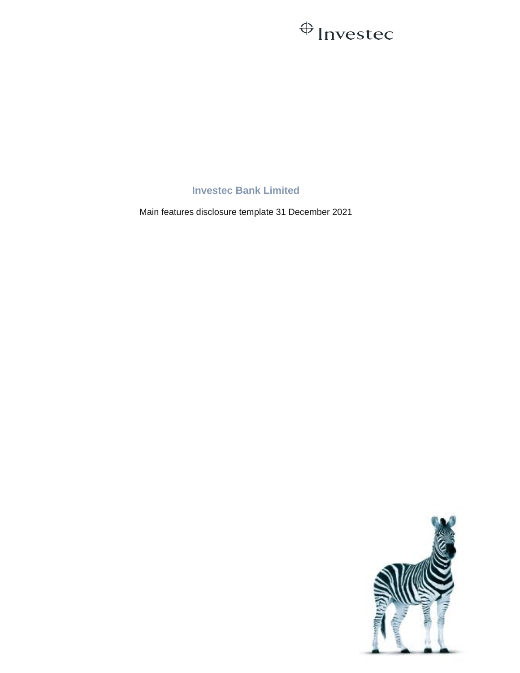## $\oplus$  Investec

**Investec Bank Limited**

Main features disclosure template 31 December 2021

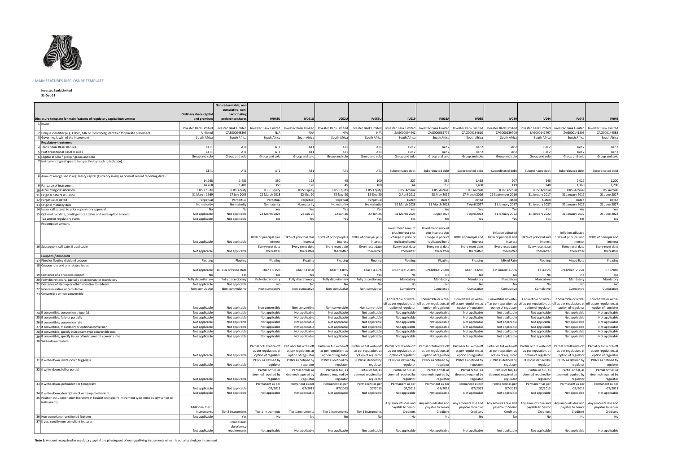

## **MAIN FEATURES DISCLOSURE TEMPLATE**

**Investec Bank Limited**

**31-Dec-21**

|                                                                                                        |                          | Non-redeemable, non-               |                        |                        |                        |                        |                                               |                       |                                                                                                                       |                       |                       |                                                                                                                                                                                                                               |                                              |
|--------------------------------------------------------------------------------------------------------|--------------------------|------------------------------------|------------------------|------------------------|------------------------|------------------------|-----------------------------------------------|-----------------------|-----------------------------------------------------------------------------------------------------------------------|-----------------------|-----------------------|-------------------------------------------------------------------------------------------------------------------------------------------------------------------------------------------------------------------------------|----------------------------------------------|
|                                                                                                        | Ordinary share capital   | cumulative, non                    |                        |                        |                        |                        |                                               |                       |                                                                                                                       |                       |                       |                                                                                                                                                                                                                               |                                              |
| Disclosure template for main features of regulatory capital instruments                                | and premium              | participating<br>preference share: | <b>IV048U</b>          | <b>IV051U</b>          | <b>IV052U</b>          | <b>IV053U</b>          | <b>IV019</b>                                  | <b>IV019A</b>         | <b>IV035</b>                                                                                                          | <b>IV039</b>          | <b>IV044</b>          | <b>IV045</b>                                                                                                                                                                                                                  | <b>IV046</b>                                 |
| 1 Issuer                                                                                               |                          |                                    |                        |                        |                        |                        |                                               |                       |                                                                                                                       |                       |                       |                                                                                                                                                                                                                               |                                              |
|                                                                                                        | Investec Bank Limited    | Investec Bank Limited              | Investec Bank Limited  | Investec Bank Limited  | Investec Bank Limited  |                        | Investec Bank Limited   Investec Bank Limited |                       | Investec Bank Limited   Investec Bank Limited                                                                         | Investec Bank Limited | Investec Bank Limited | Investec Bank Limited                                                                                                                                                                                                         | Investec Bank Limited                        |
| 2 Unique identifier (e.g. CUSIP, ISIN or Bloomberg identifier for private placement)                   | Unlisted                 | ZAE000048393                       | N/A                    | N/A                    | N/Al                   | N/A                    | ZAG000094442                                  | ZAG000095779          | ZAG000134610                                                                                                          | ZAG000139700          | ZAG000141797          | ZAG000141805                                                                                                                                                                                                                  | ZAG000144585                                 |
| 3 Governing law(s) of the instrument                                                                   | South Africa             | South Africa                       | South Africa           | South Africa           | South Africa           | South Africa           | South Africa                                  | South Africa          | South Africa                                                                                                          | South Africa          | South Africa          | South Africa                                                                                                                                                                                                                  | South Africa                                 |
| <b>Regulatory treatment</b>                                                                            |                          |                                    |                        |                        |                        |                        |                                               |                       |                                                                                                                       |                       |                       |                                                                                                                                                                                                                               |                                              |
| 4 Transitional Basel III rules                                                                         | CET1                     | AT1                                | AT1                    | AT1                    | AT1                    | AT1                    | Tier 2                                        | Tier 2                | Tier 2                                                                                                                | Tier 2                | Tier 2                | Tier 2                                                                                                                                                                                                                        | Tier 2                                       |
| 5 Post-transitional Basel III rules                                                                    | CET1                     | AT1                                | AT1                    | AT1                    | AT1                    | AT1                    | Tier 2                                        | Tier 2                | Tier 2                                                                                                                | Tier 2                | Tier 2                | Tier 2                                                                                                                                                                                                                        | Tier 2                                       |
| 6 Eligible at solo / group / group and solo                                                            | Group and solo           | Group and solo                     | Group and solo         | Group and solo         | Group and solo         | Group and solo         | Group and solo                                | Group and solo        | Group and solo                                                                                                        | Group and solo        | Group and solo        | Group and solo                                                                                                                                                                                                                | Group and solo                               |
| 7 Instrument type (types to be specified by each jurisdiction)                                         |                          |                                    |                        |                        |                        |                        |                                               |                       |                                                                                                                       |                       |                       |                                                                                                                                                                                                                               |                                              |
|                                                                                                        | CET1                     | AT1                                | AT1                    | AT1                    | AT1                    | AT1                    | Subordinated debt                             | Subordinated debt     | Subordinated debt                                                                                                     | Subordinated debt     | Subordinated debt     | Subordinated debt                                                                                                                                                                                                             | Subordinated debt                            |
|                                                                                                        |                          |                                    |                        |                        |                        |                        |                                               |                       |                                                                                                                       |                       |                       |                                                                                                                                                                                                                               |                                              |
| $8$ Amount recognised in regulatory capital (Currency in mil, as of most recent reporting date) $^{1}$ | 14,268                   | 1,481                              | 350                    | 128                    | 45                     | 100                    | 227                                           | 382                   | 1,468                                                                                                                 | 207                   | 240                   | 2,027                                                                                                                                                                                                                         | 1,200                                        |
| 9 Par value of instrument                                                                              | 14,268                   | 1,481                              | 350                    | 128                    | 45                     | 100                    | 64                                            | 230                   | 1,468                                                                                                                 | 119                   | 240                   | 1,160                                                                                                                                                                                                                         | 1,200                                        |
| 10 Accounting classification                                                                           | <b>IFRS: Equity</b>      | IFRS: Equity                       | IFRS: Equity           | <b>IFRS: Equity</b>    | IFRS: Equity           | <b>IFRS: Equity</b>    | <b>IFRS: Accrual</b>                          | IFRS: Accrual         | <b>IFRS: Accrual</b>                                                                                                  | <b>IFRS: Accrual</b>  | <b>IFRS: Accrual</b>  | IFRS: Accrual                                                                                                                                                                                                                 | <b>IFRS: Accrual</b>                         |
| 11 Original date of issuance                                                                           | 31 March 1969            | 17 July 2003                       | 22 March 2018          | 22-Oct-20              | 25-Nov-20              | 15-Dec-20              | 2 April 2012                                  | 28 May 2012           | 17 March 2016                                                                                                         | 29 September 2016     | 31 January 2017       | 31 January 2017                                                                                                                                                                                                               | 21 June 2017                                 |
| 12 Perpetual or dated                                                                                  | Perpetual                | Perpertual                         | Perpetual              | Perpetual              | Perpetual              | Perpetual              | Dated                                         | Dated                 | Dated                                                                                                                 | Dated                 | Dated                 | Dated                                                                                                                                                                                                                         | Dated                                        |
| 13 Original maturity date                                                                              | No maturity              | No maturity                        | No maturity            | No maturity            | No maturity            | No maturity            | 31 March 2028                                 | 31 March 2028         | 7 April 2027                                                                                                          | 31 January 2027       | 31 January 2027       | 31 January 2027                                                                                                                                                                                                               | 21 June 2027                                 |
| 14 Issuer call subject to prior supervisory approval                                                   | No                       | No                                 | Yes                    | Yes                    | Yes                    | Yes                    | Yes                                           | Yesl                  | Yes                                                                                                                   | Yes                   | Yes                   | Yes                                                                                                                                                                                                                           | Yes                                          |
| 15 Optional call date, contingent call dates and redemption amount                                     | Not applicable           | Not applicable                     | 22 March 2023          | 22-Jan-26              | 22-Jan-26              | 22-Jan-26              | 31 March 2023                                 | 3 April 2023          | 7 April 2022                                                                                                          | 31 January 2022       | 31 January 2022       | 31 January 2022                                                                                                                                                                                                               | 21 June 2022                                 |
| Tax and/or regulatory event                                                                            | Not applicable           | Not applicable                     | Yes                    | Yes                    | Yes                    | Yes                    | Yes                                           | Yes                   | Yes                                                                                                                   | Yes                   | Yes                   | Yes                                                                                                                                                                                                                           | Yes                                          |
| Redemption amount                                                                                      |                          |                                    |                        |                        |                        |                        |                                               |                       |                                                                                                                       |                       |                       |                                                                                                                                                                                                                               |                                              |
|                                                                                                        |                          |                                    |                        |                        |                        |                        | Investment amount                             | Investment amount     |                                                                                                                       |                       |                       |                                                                                                                                                                                                                               |                                              |
|                                                                                                        |                          |                                    |                        |                        |                        |                        | plus interest plus                            | plus interest plus    |                                                                                                                       | inflation adjusted    |                       | inflation adjusted                                                                                                                                                                                                            |                                              |
|                                                                                                        |                          |                                    | 100% of principal plus | 100% of principal plus | 100% of principal plus | 100% of principal plus | change in price of                            | change in price of    | 100% of principal and                                                                                                 | 100% of principal and | 100% of principal and | 100% of principal and                                                                                                                                                                                                         | 100% of principal and                        |
|                                                                                                        | Not applicable           | Not applicable                     | interes                | interest               | interest               | interest               | replicated bond                               | replicated bond       | interest                                                                                                              | interest              | interest              | interest                                                                                                                                                                                                                      | interest                                     |
| 16 Subsequent call date, if applicable                                                                 |                          |                                    | Every reset date       | Every reset date       | Every reset date       | Every reset date       | Every reset date                              | Every reset date      | Every reset date                                                                                                      | Every reset date      | Every reset date      | Every reset date                                                                                                                                                                                                              | Every reset date                             |
|                                                                                                        | Not applicable           | Not applicable                     | thereafter             | thereafter             | thereafter             | thereafter             | thereafter                                    | thereafter            | thereafter                                                                                                            | thereafter            | thereafter            | thereafter                                                                                                                                                                                                                    | thereafter                                   |
| Coupons / dividends                                                                                    | Floating                 |                                    | Floating               |                        | Floating               | Floating               | Floating                                      | Floating              |                                                                                                                       | <b>Mixed Rate</b>     | Floating              | <b>Mixed Rate</b>                                                                                                                                                                                                             |                                              |
| 17 Fixed or floating dividend coupon<br>18 Coupon rate and any related index                           |                          | Floating                           |                        | Floating               |                        |                        |                                               |                       | Floating                                                                                                              |                       |                       |                                                                                                                                                                                                                               | Floating                                     |
|                                                                                                        | Not applicable           | 83.33% of Prime Rate               | Jibar + 5.15%          | Jibar + 4.85%          | Jibar + 4.85%          | Jibar + 4.85%          | CPI-linked: 2.60%                             | CPI-linked: 2.60%     | Jibar + 4.65%                                                                                                         | CPI-linked: 2.75%     | $J + 4.15%$           | CPI-linked: 2.75%                                                                                                                                                                                                             | $J + 3.90%$                                  |
| 19 Existence of a dividend stopper                                                                     | No                       | Yes                                | Yes                    | Yes                    | Yes                    | Yes                    | No                                            | No                    | Nol                                                                                                                   | No                    | No                    | No                                                                                                                                                                                                                            | No                                           |
| 20 Fully discretionary, partially discretionary or mandatory                                           | Fully discretionary      | Fully discretionary                | Fully discretionary    | Fully discretionary    | Fully discretionary    | Fully discretionary    | Mandatory                                     | Mandatory             | Mandatory                                                                                                             | Mandatory             | Mandatory             | Mandatory                                                                                                                                                                                                                     | Mandatory                                    |
| 21 Existence of step up or other incentive to redeem                                                   | Not applicable           | Not applicable                     | No                     | No                     | No                     | No                     | No                                            | No                    | No                                                                                                                    | No                    | No                    | No                                                                                                                                                                                                                            | No                                           |
| 22 Non-cumulative or cumulative                                                                        | Non-cumulative           | Non-cummulative                    | Non-cumulative         | Non-cumulative         | Non-cumulative         | Non-cumulative         | Cumulative                                    | Cumulative            | Cumulative                                                                                                            | Cumulative            | Cumulative            | Cumulative                                                                                                                                                                                                                    | Cumulative                                   |
| 23 Convertible or non-convertible                                                                      |                          |                                    |                        |                        |                        |                        |                                               |                       |                                                                                                                       |                       |                       |                                                                                                                                                                                                                               |                                              |
|                                                                                                        |                          |                                    |                        |                        |                        |                        | Convertible or write-                         | Convertible or write- | Convertible or write-                                                                                                 | Convertible or write- | Convertible or write- | Convertible or write-                                                                                                                                                                                                         | Convertible or write-                        |
|                                                                                                        |                          |                                    |                        |                        |                        |                        |                                               |                       |                                                                                                                       |                       |                       | off as per regulation, at  off as per regulation, at  off as per regulation, at  off as per regulation, at  off as per regulation, at  off as per regulation, at  off as per regulation, at  off as per regulation, at        |                                              |
|                                                                                                        | Not applicable           | Not applicable                     | Non-convertible        | Non-convertible        | Non-convertible        | Non-convertible        | option of regulator                           | option of regulator   | option of regulator                                                                                                   | option of regulator   | option of regulator   | option of regulator                                                                                                                                                                                                           | option of regulator                          |
| 24 if convertible, conversion trigger(s)                                                               | Not applicable           | Not applicable                     | Not applicable         | Not applicable         | Not applicable         | Not applicable         | Not applicable                                | Not applicable        | Not applicable                                                                                                        | Not applicable        | Not applicable        | Not applicable                                                                                                                                                                                                                | Not applicable                               |
| 25 if convertible, fully or partially                                                                  | Not applicable           | Not applicable                     | Not applicable         | Not applicable         | Not applicable         | Not applicable         | Not applicable                                | Not applicable        | Not applicable                                                                                                        | Not applicable        | Not applicable        | Not applicable                                                                                                                                                                                                                | Not applicable                               |
| 26 if convertible, conversion rate                                                                     | Not applicable           | Not applicable                     | Not applicable         | Not applicable         | Not applicable         | Not applicable         | Not applicable                                | Not applicable        | Not applicable                                                                                                        | Not applicable        | Not applicable        | Not applicable                                                                                                                                                                                                                | Not applicable                               |
| 27 if convertible, mandatory or optional conversion                                                    | Not applicable           | Not applicable                     | Not applicable         | Not applicable         | Not applicable         | Not applicable         | Not applicable                                | Not applicable        | Not applicable                                                                                                        | Not applicable        | Not applicable        | Not applicable                                                                                                                                                                                                                | Not applicable                               |
| 28 if convertible, specify instrument type convertible into                                            | Not applicable           | Not applicable                     | Not applicable         | Not applicable         | Not applicable         | Not applicable         | Not applicable                                | Not applicable        | Not applicable                                                                                                        | Not applicable        | Not applicable        | Not applicable                                                                                                                                                                                                                | Not applicable                               |
| 29 if convertible, specify issuer of instrument it converts into                                       | Not applicable           | Not applicable                     | Not applicable         | Not applicable         | Not applicable         | Not applicable         | Not applicable                                | Not applicable        | Not applicable                                                                                                        | Not applicable        | Not applicable        | Not applicable                                                                                                                                                                                                                | Not applicable                               |
| 30 Write-down feature                                                                                  |                          |                                    |                        |                        |                        |                        |                                               |                       |                                                                                                                       |                       |                       | Partial or full write-off   Partial or full write-off   Partial or full write-off   Partial or full write-off   Partial or full write-off   Partial or full write-off   Partial or full write-off   Partial or full write-off |                                              |
|                                                                                                        |                          |                                    | as per regulation, at  | as per regulation, at  |                        |                        |                                               |                       | as per regulation, at as per regulation, at as per regulation, at as per regulation, at as per regulation, at $\vert$ | as per regulation, at |                       | as per regulation, at $ $ as per regulation, at                                                                                                                                                                               |                                              |
|                                                                                                        | Not applicable           | Not applicable                     | option of regulator    | option of regulator    | option of regulator    | option of regulator    | option of regulator                           | option of regulator   | option of regulator                                                                                                   | option of regulator   | option of regulator   | option of regulator                                                                                                                                                                                                           | as per regulation, at<br>option of regulator |
| 31 If write-down, write-down trigger(s)                                                                |                          |                                    | PONV as defined by     | PONV as defined by     | PONV as defined by     | PONV as defined by     | PONV as defined by                            | PONV as defined by    | PONV as defined by                                                                                                    | PONV as defined by    | PONV as defined by    | PONV as defined by                                                                                                                                                                                                            | PONV as defined by                           |
|                                                                                                        | Not applicable           | Not applicable                     | regulator              | regulator              | regulator              | regulator              | regulator                                     | regulator             | regulator                                                                                                             | regulator             | regulator             | regulator                                                                                                                                                                                                                     | regulator                                    |
| 32 If write-down, full or partial                                                                      |                          |                                    | Partial or full, as    | Partial or full, as    | Partial or full, as    | Partial or full, as    | Partial or full, as                           | Partial or full, as   | Partial or full, as                                                                                                   | Partial or full, as   | Partial or full, as   | Partial or full, as                                                                                                                                                                                                           | Partial or full, as                          |
|                                                                                                        |                          |                                    | deemed required by     | deemed required by     | deemed required by     | deemed required by     | deemed required by                            | deemed required by    | deemed required by                                                                                                    | deemed required by    | deemed required by    | deemed required by                                                                                                                                                                                                            | deemed required by                           |
|                                                                                                        | Not applicable           | Not applicable                     | regulato               | regulator              | regulator              | regulator              | regulator                                     | regulator             | regulator                                                                                                             | regulator             | regulator             | regulator                                                                                                                                                                                                                     | regulator                                    |
| 33 If write-down, permanent or temporary                                                               |                          |                                    | Permanent as per       | Permanent as per       | Permanent as per       | Permanent as per       | Permanent as per                              | Permanent as per      | Permanent as per                                                                                                      | Permanent as per      | Permanent as per      | Permanent as per                                                                                                                                                                                                              | Permanent as per                             |
|                                                                                                        | Not applicable           | Not applicable                     | G7/2013                | G7/2013                | G7/2013                | G7/2013                | G7/2013                                       | G7/2013               | G7/2013                                                                                                               | G7/2013               | G7/2013               | G7/2013                                                                                                                                                                                                                       | G7/2013                                      |
| 34 If write-down, description of write-up mechanism                                                    | Not applicable           | Not applicable                     | Not applicable         | Not applicable         | Not applicable         | Not applicable         | Not applicable                                | Not applicable        | Not applicable                                                                                                        | Not applicable        | Not applicable        | Not applicable                                                                                                                                                                                                                | Not applicable                               |
| 35 Position in subordination hierarchy in liquidation (specify instrument type immediately senior to   |                          |                                    |                        |                        |                        |                        |                                               |                       |                                                                                                                       |                       |                       |                                                                                                                                                                                                                               |                                              |
| instrument)                                                                                            |                          |                                    |                        |                        |                        |                        | Any amounts due and                           |                       | Any amounts due and Any amounts due and                                                                               | Any amounts due and   |                       | Any amounts due and   Any amounts due and   Any amounts due and                                                                                                                                                               |                                              |
|                                                                                                        | <b>Additional Tier 1</b> |                                    |                        |                        |                        |                        | payable to Senior                             | payable to Senior     | payable to Senior                                                                                                     | payable to Senior     | payable to Senior     | payable to Senior                                                                                                                                                                                                             | payable to Senior                            |
|                                                                                                        | instruments              | Tier 2 instruments                 | Tier 1 instruments     | Tier 1 instruments     | Tier 1 instruments     | Tier 1 instruments     | Creditors                                     | Creditors             | Creditors                                                                                                             | Creditors             | Creditors             | Creditors                                                                                                                                                                                                                     | Creditors                                    |
| 36 Non-compliant transitioned features                                                                 | Not applicable           | Yes                                | No                     | No                     | No                     | No                     | No                                            | No                    | No                                                                                                                    | No                    | No                    | No                                                                                                                                                                                                                            | No                                           |
| 37 If yes, specify non-compliant features                                                              |                          | <b>Excludes</b> loss               |                        |                        |                        |                        |                                               |                       |                                                                                                                       |                       |                       |                                                                                                                                                                                                                               |                                              |
|                                                                                                        | Not applicable           | absorbency<br>requirements         | Not applicable         | Not applicable         | Not applicable         | Not applicable         | Not applicable                                | Not applicable        | Not applicable                                                                                                        | Not applicable        | Not applicable        | Not applicable                                                                                                                                                                                                                | Not applicable                               |
|                                                                                                        |                          |                                    |                        |                        |                        |                        |                                               |                       |                                                                                                                       |                       |                       |                                                                                                                                                                                                                               |                                              |

**Note 1:** Amount recognised in regulatory capital pre phasing out of non-qualifying instruments whoch is not allocated per instrument